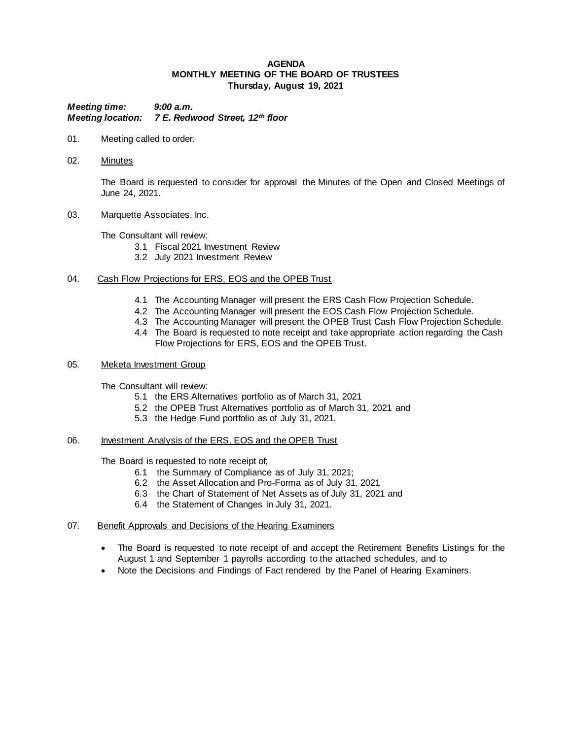## **AGENDA MONTHLY MEETING OF THE BOARD OF TRUSTEES Thursday, August 19, 2021**

*Meeting time: 9:00 a.m. Meeting location: 7 E. Redwood Street, 12th floor*

- 01. Meeting called to order.
- 02. Minutes

The Board is requested to consider for approval the Minutes of the Open and Closed Meetings of June 24, 2021.

03. Marquette Associates, Inc.

The Consultant will review:

- 3.1 Fiscal 2021 Investment Review
- 3.2 July 2021 Investment Review
- 04. Cash Flow Projections for ERS, EOS and the OPEB Trust
	- 4.1 The Accounting Manager will present the ERS Cash Flow Projection Schedule.
	- 4.2 The Accounting Manager will present the EOS Cash Flow Projection Schedule.
	- 4.3 The Accounting Manager will present the OPEB Trust Cash Flow Projection Schedule.
	- 4.4 The Board is requested to note receipt and take appropriate action regarding the Cash Flow Projections for ERS, EOS and the OPEB Trust.
- 05. Meketa Investment Group

The Consultant will review:

- 5.1 the ERS Alternatives portfolio as of March 31, 2021
- 5.2 the OPEB Trust Alternatives portfolio as of March 31, 2021 and
- 5.3 the Hedge Fund portfolio as of July 31, 2021.
- 06. Investment Analysis of the ERS, EOS and the OPEB Trust

The Board is requested to note receipt of;

- 6.1 the Summary of Compliance as of July 31, 2021;
- 6.2 the Asset Allocation and Pro-Forma as of July 31, 2021
- 6.3 the Chart of Statement of Net Assets as of July 31, 2021 and
- 6.4 the Statement of Changes in July 31, 2021.
- 07. Benefit Approvals and Decisions of the Hearing Examiners
	- The Board is requested to note receipt of and accept the Retirement Benefits Listings for the August 1 and September 1 payrolls according to the attached schedules, and to
	- Note the Decisions and Findings of Fact rendered by the Panel of Hearing Examiners.